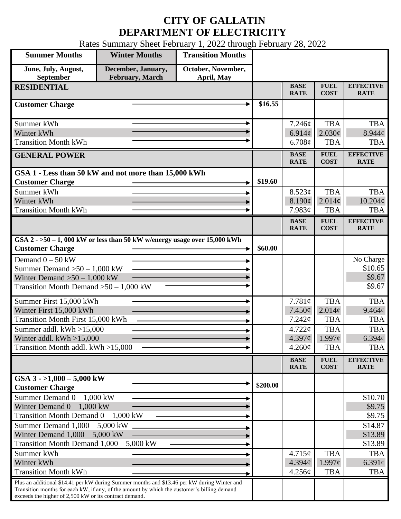## **CITY OF GALLATIN DEPARTMENT OF ELECTRICITY**

Rates Summary Sheet February 1, 2022 through February 28, 2022

| <b>Summer Months</b>                                                                                                                                                                                                                                 | <b>Winter Months</b>                  | <b>Transition Months</b>         |          |                               |                            |                                 |
|------------------------------------------------------------------------------------------------------------------------------------------------------------------------------------------------------------------------------------------------------|---------------------------------------|----------------------------------|----------|-------------------------------|----------------------------|---------------------------------|
| June, July, August,<br>September                                                                                                                                                                                                                     | December, January,<br>February, March | October, November,<br>April, May |          |                               |                            |                                 |
| <b>RESIDENTIAL</b>                                                                                                                                                                                                                                   |                                       |                                  |          | <b>BASE</b><br><b>RATE</b>    | <b>FUEL</b><br><b>COST</b> | <b>EFFECTIVE</b><br><b>RATE</b> |
| <b>Customer Charge</b>                                                                                                                                                                                                                               |                                       |                                  | \$16.55  |                               |                            |                                 |
| Summer kWh                                                                                                                                                                                                                                           |                                       |                                  |          | 7.246¢                        | <b>TBA</b>                 | <b>TBA</b>                      |
| Winter kWh                                                                                                                                                                                                                                           |                                       |                                  |          | 6.914 $\phi$                  | $2.030\ell$                | 8.944c                          |
| <b>Transition Month kWh</b>                                                                                                                                                                                                                          |                                       |                                  |          | 6.708¢                        | <b>TBA</b>                 | <b>TBA</b>                      |
| <b>GENERAL POWER</b>                                                                                                                                                                                                                                 |                                       |                                  |          | <b>BASE</b><br><b>RATE</b>    | <b>FUEL</b><br><b>COST</b> | <b>EFFECTIVE</b><br><b>RATE</b> |
| GSA 1 - Less than 50 kW and not more than 15,000 kWh                                                                                                                                                                                                 |                                       |                                  |          |                               |                            |                                 |
| <b>Customer Charge</b>                                                                                                                                                                                                                               |                                       |                                  | \$19.60  |                               |                            |                                 |
| Summer kWh<br>Winter kWh                                                                                                                                                                                                                             |                                       |                                  |          | 8.523¢<br>8.190¢              | <b>TBA</b><br>$2.014\phi$  | <b>TBA</b><br>$10.204\ell$      |
| <b>Transition Month kWh</b>                                                                                                                                                                                                                          |                                       |                                  |          | 7.983¢                        | <b>TBA</b>                 | <b>TBA</b>                      |
|                                                                                                                                                                                                                                                      |                                       |                                  |          | <b>BASE</b>                   | <b>FUEL</b>                | <b>EFFECTIVE</b>                |
|                                                                                                                                                                                                                                                      |                                       |                                  |          | <b>RATE</b>                   | <b>COST</b>                | <b>RATE</b>                     |
| GSA $2 - 50 - 1$ , 000 kW or less than 50 kW w/energy usage over 15,000 kWh<br><b>Customer Charge</b>                                                                                                                                                |                                       |                                  | \$60.00  |                               |                            |                                 |
| Demand $0 - 50$ kW                                                                                                                                                                                                                                   |                                       |                                  |          |                               |                            | No Charge                       |
| Summer Demand $>50-1,000$ kW                                                                                                                                                                                                                         |                                       |                                  |          |                               |                            | \$10.65                         |
| Winter Demand $>50-1,000$ kW                                                                                                                                                                                                                         |                                       |                                  |          |                               |                            | \$9.67                          |
| Transition Month Demand $>50-1,000$ kW                                                                                                                                                                                                               |                                       |                                  |          |                               |                            | \$9.67                          |
| Summer First 15,000 kWh                                                                                                                                                                                                                              |                                       |                                  |          | 7.781¢                        | <b>TBA</b>                 | <b>TBA</b>                      |
| Winter First 15,000 kWh                                                                                                                                                                                                                              |                                       |                                  |          | 7.450¢                        | $2.014\phi$                | $9.464\ell$                     |
| <b>Transition Month First 15,000 kWh</b>                                                                                                                                                                                                             |                                       |                                  |          | 7.242¢                        | <b>TBA</b>                 | <b>TBA</b>                      |
| Summer addl. kWh >15,000<br>Winter addl. $kWh > 15,000$                                                                                                                                                                                              |                                       |                                  |          | $4.722 \mathcal{C}$<br>4.397¢ | <b>TBA</b><br>1.997c       | <b>TBA</b><br>$6.394\ell$       |
| Transition Month addl. kWh >15,000                                                                                                                                                                                                                   |                                       |                                  |          | $4.260\phi$                   | <b>TBA</b>                 | <b>TBA</b>                      |
|                                                                                                                                                                                                                                                      |                                       |                                  |          | <b>BASE</b>                   | <b>FUEL</b>                | <b>EFFECTIVE</b>                |
|                                                                                                                                                                                                                                                      |                                       |                                  |          | <b>RATE</b>                   | <b>COST</b>                | <b>RATE</b>                     |
| GSA $3 - 1,000 - 5,000$ kW<br><b>Customer Charge</b>                                                                                                                                                                                                 |                                       |                                  | \$200.00 |                               |                            |                                 |
| Summer Demand $0 - 1,000$ kW                                                                                                                                                                                                                         |                                       |                                  |          |                               |                            | \$10.70                         |
| Winter Demand $0 - 1,000$ kW                                                                                                                                                                                                                         |                                       |                                  |          |                               |                            | \$9.75                          |
| Transition Month Demand $0 - 1,000$ kW                                                                                                                                                                                                               |                                       |                                  |          |                               |                            | \$9.75                          |
| Summer Demand $1,000 - 5,000$ kW                                                                                                                                                                                                                     |                                       |                                  |          |                               |                            | \$14.87                         |
| Winter Demand $1,000 - 5,000$ kW<br>Transition Month Demand $1,000 - 5,000$ kW                                                                                                                                                                       |                                       |                                  |          |                               |                            | \$13.89<br>\$13.89              |
| Summer kWh                                                                                                                                                                                                                                           |                                       |                                  |          | 4.715¢                        | <b>TBA</b>                 | <b>TBA</b>                      |
| Winter kWh                                                                                                                                                                                                                                           |                                       |                                  |          | 4.394¢                        | 1.997c                     | 6.391 $\phi$                    |
| <b>Transition Month kWh</b>                                                                                                                                                                                                                          |                                       |                                  |          | 4.256¢                        | <b>TBA</b>                 | <b>TBA</b>                      |
| Plus an additional \$14.41 per kW during Summer months and \$13.46 per kW during Winter and<br>Transition months for each kW, if any, of the amount by which the customer's billing demand<br>exceeds the higher of 2,500 kW or its contract demand. |                                       |                                  |          |                               |                            |                                 |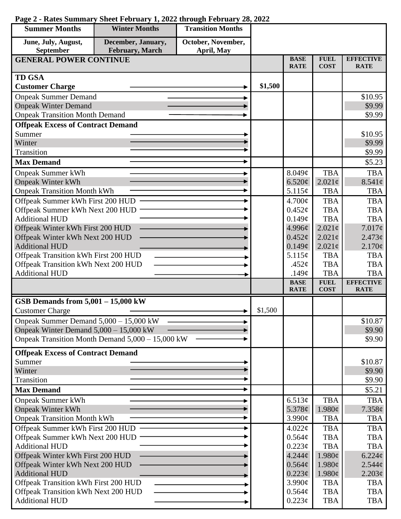| <b>Summer Months</b>                                                        | <b>Winter Months</b>                             | <b>Transition Months</b> |         |                            |                                    |                                 |
|-----------------------------------------------------------------------------|--------------------------------------------------|--------------------------|---------|----------------------------|------------------------------------|---------------------------------|
| June, July, August,                                                         | December, January,                               | October, November,       |         |                            |                                    |                                 |
| September                                                                   | February, March                                  | April, May               |         |                            |                                    |                                 |
| <b>GENERAL POWER CONTINUE</b>                                               |                                                  |                          |         | <b>BASE</b><br><b>RATE</b> | <b>FUEL</b><br><b>COST</b>         | <b>EFFECTIVE</b><br><b>RATE</b> |
| <b>TD GSA</b>                                                               |                                                  |                          |         |                            |                                    |                                 |
| <b>Customer Charge</b>                                                      |                                                  |                          | \$1,500 |                            |                                    |                                 |
| <b>Onpeak Summer Demand</b>                                                 |                                                  |                          |         |                            |                                    | \$10.95                         |
| <b>Onpeak Winter Demand</b>                                                 |                                                  |                          |         |                            |                                    | \$9.99                          |
| <b>Onpeak Transition Month Demand</b>                                       |                                                  |                          |         |                            |                                    | \$9.99                          |
| <b>Offpeak Excess of Contract Demand</b>                                    |                                                  |                          |         |                            |                                    |                                 |
| Summer                                                                      |                                                  |                          |         |                            |                                    | \$10.95                         |
| Winter                                                                      |                                                  |                          |         |                            |                                    | \$9.99                          |
| Transition                                                                  |                                                  |                          |         |                            |                                    | \$9.99                          |
| <b>Max Demand</b>                                                           |                                                  |                          |         |                            |                                    | \$5.23                          |
| <b>Onpeak Summer kWh</b>                                                    |                                                  |                          |         | 8.049¢                     | <b>TBA</b>                         | <b>TBA</b>                      |
| <b>Onpeak Winter kWh</b>                                                    |                                                  |                          |         | 6.520¢                     | $2.021\phi$                        | $8.541\phi$                     |
| <b>Onpeak Transition Month kWh</b>                                          |                                                  |                          |         | 5.115¢                     | <b>TBA</b>                         | <b>TBA</b>                      |
| Offpeak Summer kWh First 200 HUD                                            |                                                  |                          |         | 4.700¢                     | <b>TBA</b>                         | <b>TBA</b>                      |
| Offpeak Summer kWh Next 200 HUD                                             |                                                  |                          |         | $0.452\mathcal{C}$         | <b>TBA</b>                         | <b>TBA</b>                      |
| <b>Additional HUD</b>                                                       |                                                  |                          |         | 0.149¢                     | <b>TBA</b>                         | <b>TBA</b>                      |
| Offpeak Winter kWh First 200 HUD<br>Offpeak Winter kWh Next 200 HUD         |                                                  |                          |         | 4.996¢<br>$0.452\epsilon$  | $2.021\text{¢}$<br>$2.021\text{¢}$ | $7.017\phi$<br>2.473¢           |
| <b>Additional HUD</b>                                                       |                                                  |                          |         | 0.149¢                     | $2.021\phi$                        | 2.170¢                          |
|                                                                             |                                                  |                          |         | 5.115¢                     | <b>TBA</b>                         | <b>TBA</b>                      |
| Offpeak Transition kWh First 200 HUD<br>Offpeak Transition kWh Next 200 HUD |                                                  |                          |         | .452 $\phi$                | <b>TBA</b>                         | <b>TBA</b>                      |
| <b>Additional HUD</b>                                                       |                                                  |                          |         | .149 $\phi$                | <b>TBA</b>                         | <b>TBA</b>                      |
|                                                                             |                                                  |                          |         | <b>BASE</b>                | <b>FUEL</b>                        | <b>EFFECTIVE</b>                |
|                                                                             |                                                  |                          |         | <b>RATE</b>                | <b>COST</b>                        | <b>RATE</b>                     |
| GSB Demands from $5,001 - 15,000$ kW                                        |                                                  |                          |         |                            |                                    |                                 |
| <b>Customer Charge</b>                                                      |                                                  |                          | \$1,500 |                            |                                    |                                 |
| Onpeak Summer Demand 5,000 - 15,000 kW                                      |                                                  |                          |         |                            |                                    | \$10.87                         |
| Onpeak Winter Demand 5,000 - 15,000 kW                                      |                                                  |                          |         |                            |                                    | \$9.90                          |
|                                                                             | Onpeak Transition Month Demand 5,000 – 15,000 kW |                          |         |                            |                                    | \$9.90                          |
| <b>Offpeak Excess of Contract Demand</b>                                    |                                                  |                          |         |                            |                                    |                                 |
| Summer                                                                      |                                                  |                          |         |                            |                                    | \$10.87                         |
| Winter                                                                      |                                                  |                          |         |                            |                                    | \$9.90                          |
| Transition                                                                  |                                                  |                          |         |                            |                                    | \$9.90                          |
| <b>Max Demand</b>                                                           |                                                  |                          |         |                            |                                    | \$5.21                          |
| <b>Onpeak Summer kWh</b>                                                    |                                                  |                          |         | 6.513¢                     | <b>TBA</b>                         | <b>TBA</b>                      |
| <b>Onpeak Winter kWh</b>                                                    |                                                  |                          |         | 5.378¢                     | 1.980¢                             | $7.358\ell$                     |
| <b>Onpeak Transition Month kWh</b>                                          |                                                  |                          |         | 3.990¢                     | <b>TBA</b>                         | <b>TBA</b>                      |
| Offpeak Summer kWh First 200 HUD                                            |                                                  |                          |         | 4.022¢                     | <b>TBA</b>                         | <b>TBA</b>                      |
| Offpeak Summer kWh Next 200 HUD<br><b>Additional HUD</b>                    |                                                  |                          |         | 0.564¢                     | <b>TBA</b>                         | <b>TBA</b>                      |
|                                                                             |                                                  |                          |         | $0.223\phi$<br>$4.244\phi$ | <b>TBA</b><br>$1.980\epsilon$      | <b>TBA</b><br>$6.224\ell$       |
| Offpeak Winter kWh First 200 HUD<br>Offpeak Winter kWh Next 200 HUD         |                                                  |                          |         | $0.564\phi$                | $1.980\phi$                        | $2.544\phi$                     |
| <b>Additional HUD</b>                                                       |                                                  |                          |         | $0.223\ell$                | $1.980\phi$                        | 2.203¢                          |
| Offpeak Transition kWh First 200 HUD                                        |                                                  |                          |         | 3.990¢                     | <b>TBA</b>                         | <b>TBA</b>                      |
| Offpeak Transition kWh Next 200 HUD                                         |                                                  |                          |         | 0.564¢                     | <b>TBA</b>                         | <b>TBA</b>                      |
| <b>Additional HUD</b>                                                       |                                                  |                          |         | $0.223\phi$                | <b>TBA</b>                         | TBA                             |

## **Page 2 - Rates Summary Sheet February 1, 2022 through February 28, 2022**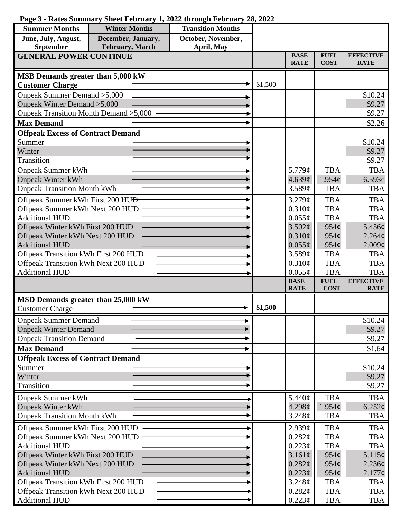## **Page 3 - Rates Summary Sheet February 1, 2022 through February 28, 2022**

| <b>Summer Months</b>                                                        | <b>Winter Months</b>                  | <b>Transition Months</b>         |         |                            |                            |                                  |
|-----------------------------------------------------------------------------|---------------------------------------|----------------------------------|---------|----------------------------|----------------------------|----------------------------------|
| June, July, August,<br>September                                            | December, January,<br>February, March | October, November,<br>April, May |         |                            |                            |                                  |
| <b>GENERAL POWER CONTINUE</b>                                               |                                       |                                  |         | <b>BASE</b><br><b>RATE</b> | <b>FUEL</b><br><b>COST</b> | <b>EFFECTIVE</b><br><b>RATE</b>  |
| <b>MSB Demands greater than 5,000 kW</b>                                    |                                       |                                  |         |                            |                            |                                  |
| <b>Customer Charge</b>                                                      |                                       |                                  | \$1,500 |                            |                            |                                  |
| Onpeak Summer Demand > 5,000                                                |                                       |                                  |         |                            |                            | \$10.24                          |
| Onpeak Winter Demand > 5,000                                                |                                       |                                  |         |                            |                            | \$9.27                           |
| Onpeak Transition Month Demand > 5,000                                      |                                       |                                  |         |                            |                            | \$9.27                           |
| <b>Max Demand</b>                                                           |                                       |                                  |         |                            |                            | \$2.26                           |
| <b>Offpeak Excess of Contract Demand</b>                                    |                                       |                                  |         |                            |                            |                                  |
| Summer                                                                      |                                       |                                  |         |                            |                            | \$10.24                          |
| Winter                                                                      |                                       |                                  |         |                            |                            | \$9.27                           |
| Transition                                                                  |                                       |                                  |         |                            |                            | \$9.27                           |
| <b>Onpeak Summer kWh</b>                                                    |                                       |                                  |         | 5.779¢                     | <b>TBA</b>                 | <b>TBA</b>                       |
| <b>Onpeak Winter kWh</b>                                                    |                                       |                                  |         | 4.639¢                     | 1.954c                     | 6.593¢                           |
| <b>Onpeak Transition Month kWh</b>                                          |                                       |                                  |         | 3.589¢                     | <b>TBA</b>                 | <b>TBA</b>                       |
| Offpeak Summer kWh First 200 HU <del>D</del>                                |                                       |                                  |         | 3.279¢                     | <b>TBA</b>                 | <b>TBA</b>                       |
| Offpeak Summer kWh Next 200 HUD                                             |                                       |                                  |         | 0.310¢                     | <b>TBA</b>                 | <b>TBA</b>                       |
| <b>Additional HUD</b>                                                       |                                       |                                  |         | $0.055\phi$                | <b>TBA</b>                 | <b>TBA</b>                       |
| Offpeak Winter kWh First 200 HUD                                            |                                       |                                  |         | 3.502¢                     | 1.954c                     | $5.456\ell$                      |
| Offpeak Winter kWh Next 200 HUD<br><b>Additional HUD</b>                    |                                       |                                  |         | $0.310\phi$                | $1.954\phi$                | $2.264\ell$                      |
| Offpeak Transition kWh First 200 HUD                                        |                                       |                                  |         | $0.055\phi$<br>3.589¢      | 1.954c<br><b>TBA</b>       | $2.009\mathcal{C}$<br><b>TBA</b> |
| Offpeak Transition kWh Next 200 HUD                                         |                                       |                                  |         | 0.310¢                     | <b>TBA</b>                 | <b>TBA</b>                       |
| <b>Additional HUD</b>                                                       |                                       |                                  |         | $0.055\phi$                | <b>TBA</b>                 | <b>TBA</b>                       |
|                                                                             |                                       |                                  |         | <b>BASE</b>                | <b>FUEL</b>                | <b>EFFECTIVE</b>                 |
|                                                                             |                                       |                                  |         | <b>RATE</b>                | <b>COST</b>                | <b>RATE</b>                      |
| MSD Demands greater than 25,000 kW                                          |                                       |                                  |         |                            |                            |                                  |
| <b>Customer Charge</b>                                                      |                                       |                                  | \$1,500 |                            |                            |                                  |
| <b>Onpeak Summer Demand</b>                                                 |                                       |                                  |         |                            |                            | \$10.24                          |
| <b>Onpeak Winter Demand</b>                                                 |                                       |                                  |         |                            |                            | \$9.27                           |
| <b>Onpeak Transition Demand</b>                                             |                                       |                                  |         |                            |                            | \$9.27                           |
| <b>Max Demand</b>                                                           |                                       |                                  |         |                            |                            | \$1.64                           |
| <b>Offpeak Excess of Contract Demand</b>                                    |                                       |                                  |         |                            |                            |                                  |
| Summer                                                                      |                                       |                                  |         |                            |                            | \$10.24                          |
| Winter                                                                      |                                       |                                  |         |                            |                            | \$9.27                           |
| Transition                                                                  |                                       |                                  |         |                            |                            | \$9.27                           |
| <b>Onpeak Summer kWh</b>                                                    |                                       |                                  |         | 5.440¢                     | <b>TBA</b>                 | <b>TBA</b>                       |
| <b>Onpeak Winter kWh</b>                                                    |                                       |                                  |         | 4.298¢                     | $1.954\phi$                | $6.252\phi$                      |
| <b>Onpeak Transition Month kWh</b>                                          |                                       |                                  |         | 3.248¢                     | <b>TBA</b>                 | <b>TBA</b>                       |
| Offpeak Summer kWh First 200 HUD                                            |                                       |                                  |         | 2.939¢                     | <b>TBA</b>                 | <b>TBA</b>                       |
| Offpeak Summer kWh Next 200 HUD                                             |                                       |                                  |         | 0.282¢                     | <b>TBA</b>                 | <b>TBA</b>                       |
| <b>Additional HUD</b>                                                       |                                       |                                  |         | $0.223\phi$                | <b>TBA</b>                 | <b>TBA</b>                       |
| Offpeak Winter kWh First 200 HUD                                            |                                       |                                  |         | 3.161¢                     | 1.954c                     | 5.115¢                           |
| Offpeak Winter kWh Next 200 HUD                                             |                                       |                                  |         | 0.282¢                     | $1.954\phi$                | $2.236\epsilon$                  |
| <b>Additional HUD</b>                                                       |                                       |                                  |         | $0.223\phi$                | $1.954\phi$                | $2.177\phi$                      |
| Offpeak Transition kWh First 200 HUD<br>Offpeak Transition kWh Next 200 HUD |                                       |                                  |         | 3.248¢                     | <b>TBA</b>                 | TBA                              |
| <b>Additional HUD</b>                                                       |                                       |                                  |         | $0.282\ell$<br>$0.223\phi$ | <b>TBA</b><br><b>TBA</b>   | <b>TBA</b><br><b>TBA</b>         |
|                                                                             |                                       |                                  |         |                            |                            |                                  |